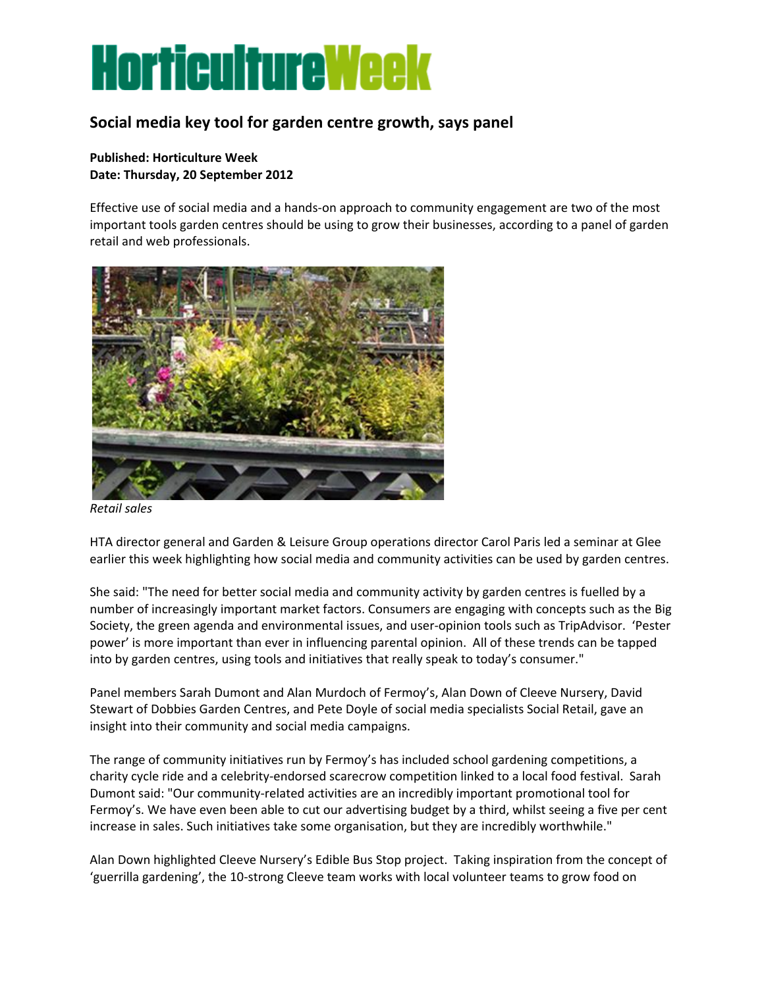## **HorticultureWeek**

## **Social media key tool for garden centre growth, says panel**

## **Published: Horticulture Week Date: Thursday, 20 September 2012**

Effective use of social media and a hands-on approach to community engagement are two of the most important tools garden centres should be using to grow their businesses, according to a panel of garden retail and web professionals.



*Retail sales*

HTA director general and Garden & Leisure Group operations director Carol Paris led a seminar at Glee earlier this week highlighting how social media and community activities can be used by garden centres.

She said: "The need for better social media and community activity by garden centres is fuelled by a number of increasingly important market factors. Consumers are engaging with concepts such as the Big Society, the green agenda and environmental issues, and user-opinion tools such as TripAdvisor. 'Pester power' is more important than ever in influencing parental opinion. All of these trends can be tapped into by garden centres, using tools and initiatives that really speak to today's consumer."

Panel members Sarah Dumont and Alan Murdoch of Fermoy's, Alan Down of Cleeve Nursery, David Stewart of Dobbies Garden Centres, and Pete Doyle of social media specialists Social Retail, gave an insight into their community and social media campaigns.

The range of community initiatives run by Fermoy's has included school gardening competitions, a charity cycle ride and a celebrity-endorsed scarecrow competition linked to a local food festival. Sarah Dumont said: "Our community-related activities are an incredibly important promotional tool for Fermoy's. We have even been able to cut our advertising budget by a third, whilst seeing a five per cent increase in sales. Such initiatives take some organisation, but they are incredibly worthwhile."

Alan Down highlighted Cleeve Nursery's Edible Bus Stop project. Taking inspiration from the concept of 'guerrilla gardening', the 10-strong Cleeve team works with local volunteer teams to grow food on